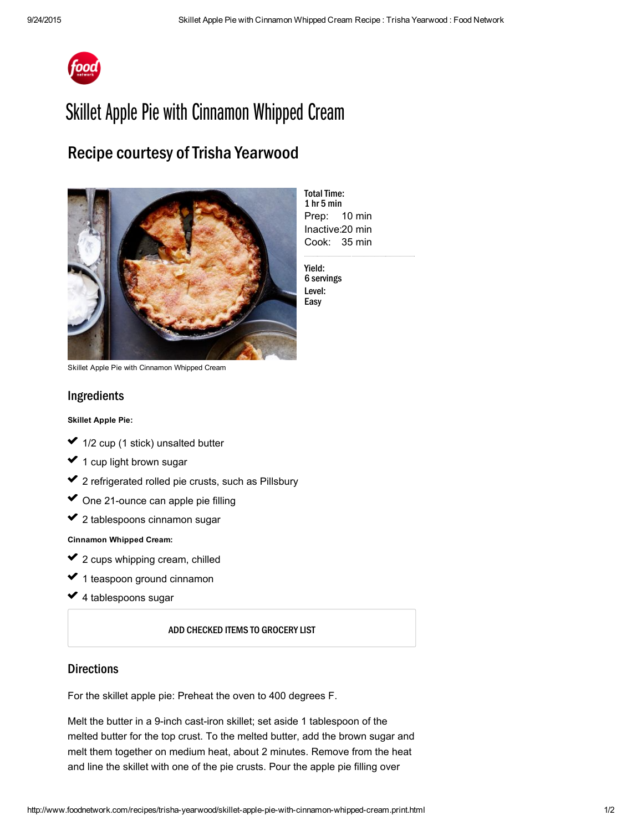

# Skillet Apple Pie with Cinnamon Whipped Cream

## Recipe courtesy of Trisha Yearwood



Prep: 10 min Inactive: 20 min Cook: 35 min **Total Time:** 1 hr 5 min

Yield: 6 servings Level: Easy

Skillet Apple Pie with Cinnamon Whipped Cream

### Ingredients

#### Skillet Apple Pie:

- 1/2 cup (1 stick) [unsalted](http://www.foodterms.com/encyclopedia/butter/index.html) butter  $\mathcal{L}^{\mathcal{L}}$ ✔ 1  $\mathcal{L}^{\mathcal{L}}$
- 1 cup light [brown](http://www.foodterms.com/encyclopedia/sugar/index.html) sugar ✓ usika<br>∪a
- 2 refrigerated rolled pie crusts, such as Pillsbury ✔ 2 ✓
- One 21-ounce can apple pie filling ✓  $\mathcal{L}^{\mathcal{L}}$
- 2 tablespoons cinnamon sugar ✔ 2

Cinnamon [Whipped](http://www.foodterms.com/encyclopedia/cream/index.html) Cream:

- 2 cups [whipping](http://www.foodterms.com/encyclopedia/whipping-cream/index.html) cream, chilled usika<br>∪a ✔ 2 ✓
- 1 teaspoon ground cinnamon ✔ 1  $\mathcal{L}^{\mathcal{L}}$
- 4 tablespoons sugar ✓

ADD CHECKED ITEMS TO GROCERY LIST

#### **Directions**

For the skillet [apple](http://www.foodterms.com/encyclopedia/apple/index.html) pie: Preheat the oven to 400 degrees F.

Melt the butter in a 9-inch cast-iron skillet; set aside 1 tablespoon of the melted butter for the top crust. To the melted butter, add the brown sugar and [melt](http://www.foodterms.com/encyclopedia/melt/index.html) them together on medium heat, about 2 minutes. Remove from the heat and line the skillet with one of the pie crusts. Pour the apple pie filling over